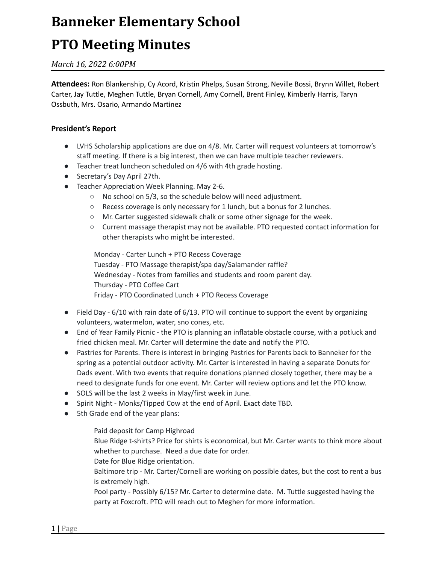# **Banneker Elementary School**

## **PTO Meeting Minutes**

### *March 16, 2022 6:00PM*

**Attendees:** Ron Blankenship, Cy Acord, Kristin Phelps, Susan Strong, Neville Bossi, Brynn Willet, Robert Carter, Jay Tuttle, Meghen Tuttle, Bryan Cornell, Amy Cornell, Brent Finley, Kimberly Harris, Taryn Ossbuth, Mrs. Osario, Armando Martinez

#### **President's Report**

- LVHS Scholarship applications are due on 4/8. Mr. Carter will request volunteers at tomorrow's staff meeting. If there is a big interest, then we can have multiple teacher reviewers.
- Teacher treat luncheon scheduled on 4/6 with 4th grade hosting.
- Secretary's Day April 27th.
- Teacher Appreciation Week Planning. May 2-6.
	- No school on 5/3, so the schedule below will need adjustment.
	- Recess coverage is only necessary for 1 lunch, but a bonus for 2 lunches.
	- Mr. Carter suggested sidewalk chalk or some other signage for the week.
	- Current massage therapist may not be available. PTO requested contact information for other therapists who might be interested.

Monday - Carter Lunch + PTO Recess Coverage Tuesday - PTO Massage therapist/spa day/Salamander raffle? Wednesday - Notes from families and students and room parent day. Thursday - PTO Coffee Cart Friday - PTO Coordinated Lunch + PTO Recess Coverage

- Field Day 6/10 with rain date of 6/13. PTO will continue to support the event by organizing volunteers, watermelon, water, sno cones, etc.
- End of Year Family Picnic the PTO is planning an inflatable obstacle course, with a potluck and fried chicken meal. Mr. Carter will determine the date and notify the PTO.
- Pastries for Parents. There is interest in bringing Pastries for Parents back to Banneker for the spring as a potential outdoor activity. Mr. Carter is interested in having a separate Donuts for Dads event. With two events that require donations planned closely together, there may be a need to designate funds for one event. Mr. Carter will review options and let the PTO know.
- SOLS will be the last 2 weeks in May/first week in June.
- Spirit Night Monks/Tipped Cow at the end of April. Exact date TBD.
- 5th Grade end of the year plans:

Paid deposit for Camp Highroad

Blue Ridge t-shirts? Price for shirts is economical, but Mr. Carter wants to think more about whether to purchase. Need a due date for order.

Date for Blue Ridge orientation.

Baltimore trip - Mr. Carter/Cornell are working on possible dates, but the cost to rent a bus is extremely high.

Pool party - Possibly 6/15? Mr. Carter to determine date. M. Tuttle suggested having the party at Foxcroft. PTO will reach out to Meghen for more information.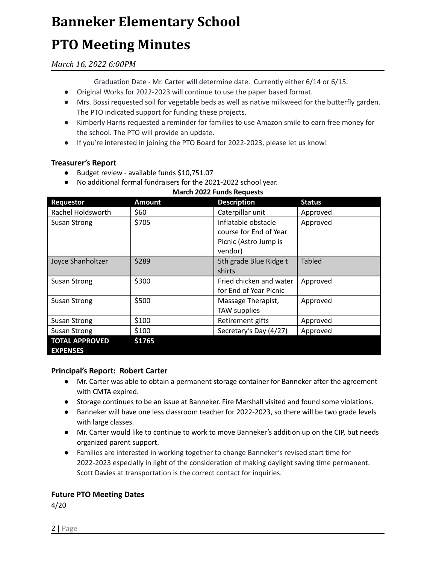# **Banneker Elementary School**

# **PTO Meeting Minutes**

### *March 16, 2022 6:00PM*

Graduation Date - Mr. Carter will determine date. Currently either 6/14 or 6/15.

- Original Works for 2022-2023 will continue to use the paper based format.
- Mrs. Bossi requested soil for vegetable beds as well as native milkweed for the butterfly garden. The PTO indicated support for funding these projects.
- Kimberly Harris requested a reminder for families to use Amazon smile to earn free money for the school. The PTO will provide an update.
- If you're interested in joining the PTO Board for 2022-2023, please let us know!

### **Treasurer's Report**

- Budget review available funds \$10,751.07
- No additional formal fundraisers for the 2021-2022 school year.

**March 2022 Funds Requests**

| Requestor             | <b>Amount</b> | <b>Description</b>      | <b>Status</b> |
|-----------------------|---------------|-------------------------|---------------|
| Rachel Holdsworth     | \$60          | Caterpillar unit        | Approved      |
| <b>Susan Strong</b>   | \$705         | Inflatable obstacle     | Approved      |
|                       |               | course for End of Year  |               |
|                       |               | Picnic (Astro Jump is   |               |
|                       |               | vendor)                 |               |
| Joyce Shanholtzer     | \$289         | 5th grade Blue Ridge t  | <b>Tabled</b> |
|                       |               | shirts                  |               |
| <b>Susan Strong</b>   | \$300         | Fried chicken and water | Approved      |
|                       |               | for End of Year Picnic  |               |
| <b>Susan Strong</b>   | \$500         | Massage Therapist,      | Approved      |
|                       |               | TAW supplies            |               |
| Susan Strong          | \$100         | Retirement gifts        | Approved      |
| <b>Susan Strong</b>   | \$100         | Secretary's Day (4/27)  | Approved      |
| <b>TOTAL APPROVED</b> | \$1765        |                         |               |
| <b>EXPENSES</b>       |               |                         |               |

### **Principal's Report: Robert Carter**

- Mr. Carter was able to obtain a permanent storage container for Banneker after the agreement with CMTA expired.
- Storage continues to be an issue at Banneker. Fire Marshall visited and found some violations.
- Banneker will have one less classroom teacher for 2022-2023, so there will be two grade levels with large classes.
- Mr. Carter would like to continue to work to move Banneker's addition up on the CIP, but needs organized parent support.
- Families are interested in working together to change Banneker's revised start time for 2022-2023 especially in light of the consideration of making daylight saving time permanent. Scott Davies at transportation is the correct contact for inquiries.

#### **Future PTO Meeting Dates**

4/20